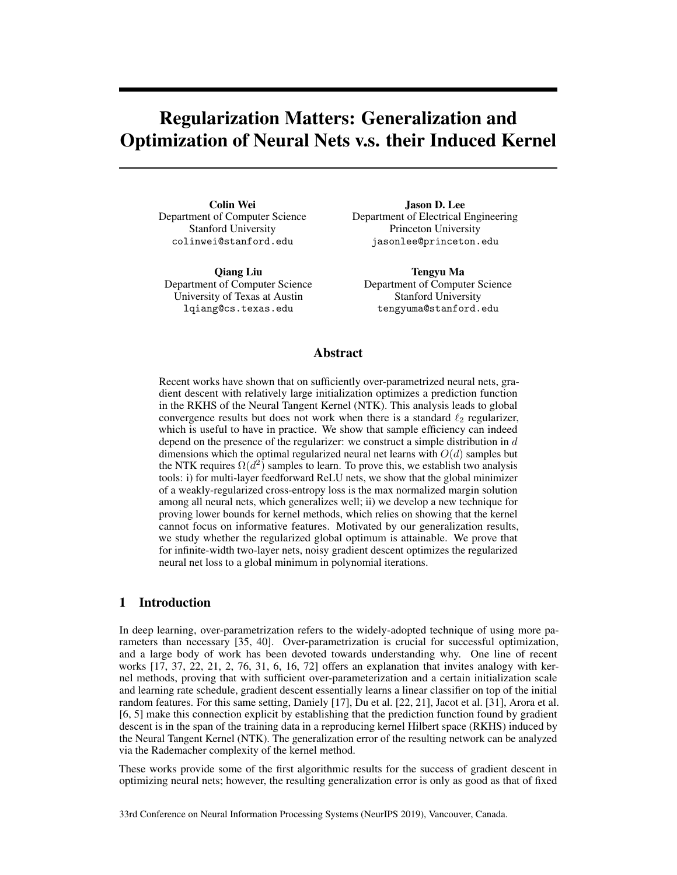# Regularization Matters: Generalization and Optimization of Neural Nets v.s. their Induced Kernel

Colin Wei Department of Computer Science Stanford University colinwei@stanford.edu

Qiang Liu Department of Computer Science University of Texas at Austin lqiang@cs.texas.edu

Jason D. Lee Department of Electrical Engineering Princeton University jasonlee@princeton.edu

Tengyu Ma Department of Computer Science Stanford University tengyuma@stanford.edu

## Abstract

Recent works have shown that on sufficiently over-parametrized neural nets, gradient descent with relatively large initialization optimizes a prediction function in the RKHS of the Neural Tangent Kernel (NTK). This analysis leads to global convergence results but does not work when there is a standard  $\ell_2$  regularizer, which is useful to have in practice. We show that sample efficiency can indeed depend on the presence of the regularizer: we construct a simple distribution in  $d$ dimensions which the optimal regularized neural net learns with  $O(d)$  samples but the NTK requires  $\Omega(d^2)$  samples to learn. To prove this, we establish two analysis tools: i) for multi-layer feedforward ReLU nets, we show that the global minimizer of a weakly-regularized cross-entropy loss is the max normalized margin solution among all neural nets, which generalizes well; ii) we develop a new technique for proving lower bounds for kernel methods, which relies on showing that the kernel cannot focus on informative features. Motivated by our generalization results, we study whether the regularized global optimum is attainable. We prove that for infinite-width two-layer nets, noisy gradient descent optimizes the regularized neural net loss to a global minimum in polynomial iterations.

# 1 Introduction

In deep learning, over-parametrization refers to the widely-adopted technique of using more parameters than necessary [35, 40]. Over-parametrization is crucial for successful optimization, and a large body of work has been devoted towards understanding why. One line of recent works [17, 37, 22, 21, 2, 76, 31, 6, 16, 72] offers an explanation that invites analogy with kernel methods, proving that with sufficient over-parameterization and a certain initialization scale and learning rate schedule, gradient descent essentially learns a linear classifier on top of the initial random features. For this same setting, Daniely [17], Du et al. [22, 21], Jacot et al. [31], Arora et al. [6, 5] make this connection explicit by establishing that the prediction function found by gradient descent is in the span of the training data in a reproducing kernel Hilbert space (RKHS) induced by the Neural Tangent Kernel (NTK). The generalization error of the resulting network can be analyzed via the Rademacher complexity of the kernel method.

These works provide some of the first algorithmic results for the success of gradient descent in optimizing neural nets; however, the resulting generalization error is only as good as that of fixed

33rd Conference on Neural Information Processing Systems (NeurIPS 2019), Vancouver, Canada.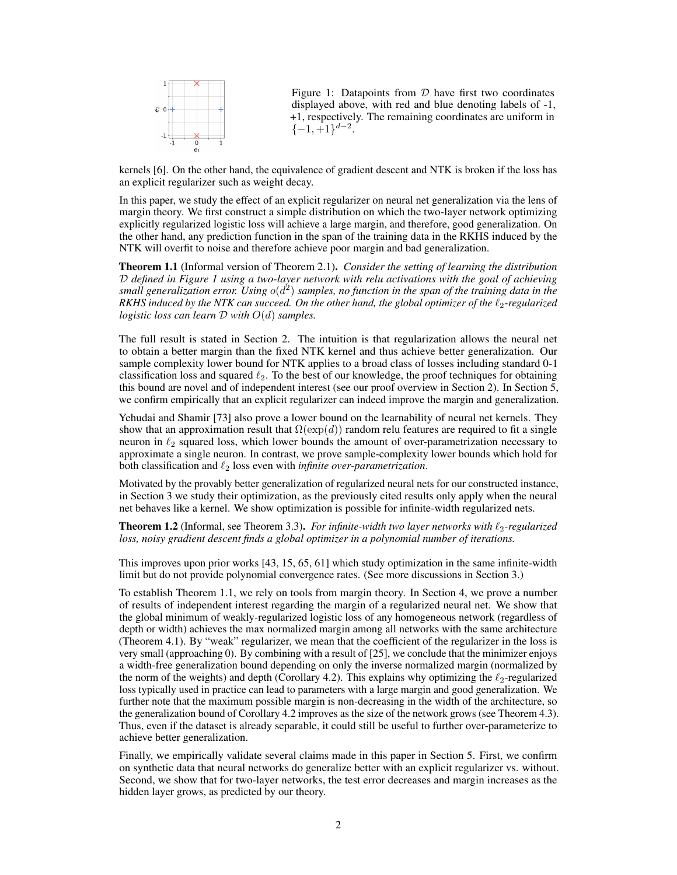

Figure 1: Datapoints from  $D$  have first two coordinates displayed above, with red and blue denoting labels of -1, +1, respectively. The remaining coordinates are uniform in  $\{-1, +1\}^{d-2}$ .

kernels [6]. On the other hand, the equivalence of gradient descent and NTK is broken if the loss has an explicit regularizer such as weight decay.

In this paper, we study the effect of an explicit regularizer on neural net generalization via the lens of margin theory. We first construct a simple distribution on which the two-layer network optimizing explicitly regularized logistic loss will achieve a large margin, and therefore, good generalization. On the other hand, any prediction function in the span of the training data in the RKHS induced by the NTK will overfit to noise and therefore achieve poor margin and bad generalization.

Theorem 1.1 (Informal version of Theorem 2.1). *Consider the setting of learning the distribution* D *defined in Figure 1 using a two-layer network with relu activations with the goal of achieving* small generalization error. Using  $o(d^2)$  samples, no function in the span of the training data in the *RKHS induced by the NTK can succeed. On the other hand, the global optimizer of the*  $\ell_2$ -regularized *logistic loss can learn* D *with* O(d) *samples.*

The full result is stated in Section 2. The intuition is that regularization allows the neural net to obtain a better margin than the fixed NTK kernel and thus achieve better generalization. Our sample complexity lower bound for NTK applies to a broad class of losses including standard 0-1 classification loss and squared  $\ell_2$ . To the best of our knowledge, the proof techniques for obtaining this bound are novel and of independent interest (see our proof overview in Section 2). In Section 5, we confirm empirically that an explicit regularizer can indeed improve the margin and generalization.

Yehudai and Shamir [73] also prove a lower bound on the learnability of neural net kernels. They show that an approximation result that  $\Omega(\exp(d))$  random relu features are required to fit a single neuron in  $\ell_2$  squared loss, which lower bounds the amount of over-parametrization necessary to approximate a single neuron. In contrast, we prove sample-complexity lower bounds which hold for both classification and  $\ell_2$  loss even with *infinite over-parametrization*.

Motivated by the provably better generalization of regularized neural nets for our constructed instance, in Section 3 we study their optimization, as the previously cited results only apply when the neural net behaves like a kernel. We show optimization is possible for infinite-width regularized nets.

**Theorem 1.2** (Informal, see Theorem 3.3). *For infinite-width two layer networks with*  $\ell_2$ -regularized *loss, noisy gradient descent finds a global optimizer in a polynomial number of iterations.*

This improves upon prior works [43, 15, 65, 61] which study optimization in the same infinite-width limit but do not provide polynomial convergence rates. (See more discussions in Section 3.)

To establish Theorem 1.1, we rely on tools from margin theory. In Section 4, we prove a number of results of independent interest regarding the margin of a regularized neural net. We show that the global minimum of weakly-regularized logistic loss of any homogeneous network (regardless of depth or width) achieves the max normalized margin among all networks with the same architecture (Theorem 4.1). By "weak" regularizer, we mean that the coefficient of the regularizer in the loss is very small (approaching 0). By combining with a result of [25], we conclude that the minimizer enjoys a width-free generalization bound depending on only the inverse normalized margin (normalized by the norm of the weights) and depth (Corollary 4.2). This explains why optimizing the  $\ell_2$ -regularized loss typically used in practice can lead to parameters with a large margin and good generalization. We further note that the maximum possible margin is non-decreasing in the width of the architecture, so the generalization bound of Corollary 4.2 improves as the size of the network grows (see Theorem 4.3). Thus, even if the dataset is already separable, it could still be useful to further over-parameterize to achieve better generalization.

Finally, we empirically validate several claims made in this paper in Section 5. First, we confirm on synthetic data that neural networks do generalize better with an explicit regularizer vs. without. Second, we show that for two-layer networks, the test error decreases and margin increases as the hidden layer grows, as predicted by our theory.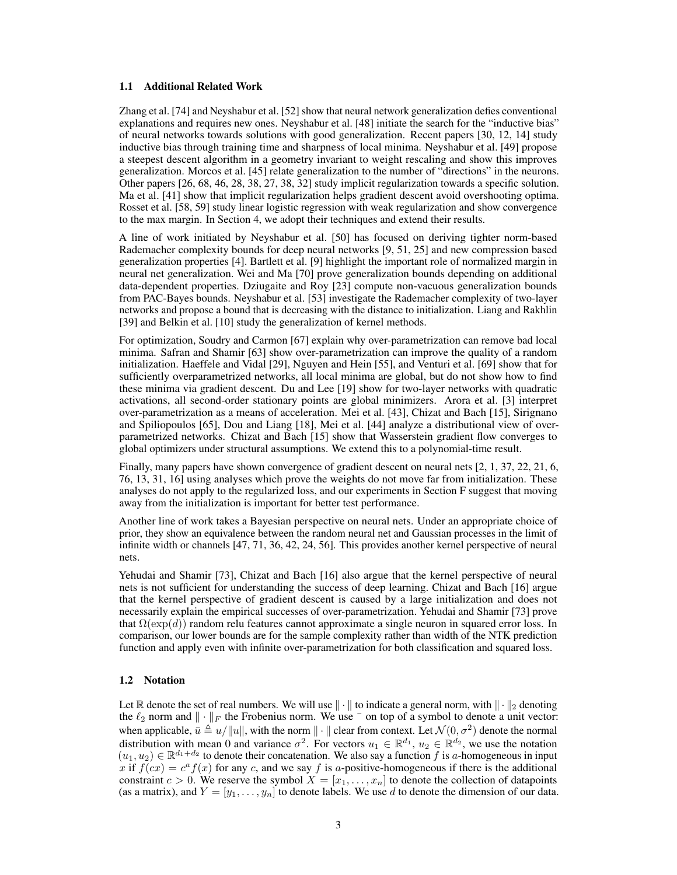#### 1.1 Additional Related Work

Zhang et al. [74] and Neyshabur et al. [52] show that neural network generalization defies conventional explanations and requires new ones. Neyshabur et al. [48] initiate the search for the "inductive bias" of neural networks towards solutions with good generalization. Recent papers [30, 12, 14] study inductive bias through training time and sharpness of local minima. Neyshabur et al. [49] propose a steepest descent algorithm in a geometry invariant to weight rescaling and show this improves generalization. Morcos et al. [45] relate generalization to the number of "directions" in the neurons. Other papers [26, 68, 46, 28, 38, 27, 38, 32] study implicit regularization towards a specific solution. Ma et al. [41] show that implicit regularization helps gradient descent avoid overshooting optima. Rosset et al. [58, 59] study linear logistic regression with weak regularization and show convergence to the max margin. In Section 4, we adopt their techniques and extend their results.

A line of work initiated by Neyshabur et al. [50] has focused on deriving tighter norm-based Rademacher complexity bounds for deep neural networks [9, 51, 25] and new compression based generalization properties [4]. Bartlett et al. [9] highlight the important role of normalized margin in neural net generalization. Wei and Ma [70] prove generalization bounds depending on additional data-dependent properties. Dziugaite and Roy [23] compute non-vacuous generalization bounds from PAC-Bayes bounds. Neyshabur et al. [53] investigate the Rademacher complexity of two-layer networks and propose a bound that is decreasing with the distance to initialization. Liang and Rakhlin [39] and Belkin et al. [10] study the generalization of kernel methods.

For optimization, Soudry and Carmon [67] explain why over-parametrization can remove bad local minima. Safran and Shamir [63] show over-parametrization can improve the quality of a random initialization. Haeffele and Vidal [29], Nguyen and Hein [55], and Venturi et al. [69] show that for sufficiently overparametrized networks, all local minima are global, but do not show how to find these minima via gradient descent. Du and Lee [19] show for two-layer networks with quadratic activations, all second-order stationary points are global minimizers. Arora et al. [3] interpret over-parametrization as a means of acceleration. Mei et al. [43], Chizat and Bach [15], Sirignano and Spiliopoulos [65], Dou and Liang [18], Mei et al. [44] analyze a distributional view of overparametrized networks. Chizat and Bach [15] show that Wasserstein gradient flow converges to global optimizers under structural assumptions. We extend this to a polynomial-time result.

Finally, many papers have shown convergence of gradient descent on neural nets [2, 1, 37, 22, 21, 6, 76, 13, 31, 16] using analyses which prove the weights do not move far from initialization. These analyses do not apply to the regularized loss, and our experiments in Section F suggest that moving away from the initialization is important for better test performance.

Another line of work takes a Bayesian perspective on neural nets. Under an appropriate choice of prior, they show an equivalence between the random neural net and Gaussian processes in the limit of infinite width or channels [47, 71, 36, 42, 24, 56]. This provides another kernel perspective of neural nets.

Yehudai and Shamir [73], Chizat and Bach [16] also argue that the kernel perspective of neural nets is not sufficient for understanding the success of deep learning. Chizat and Bach [16] argue that the kernel perspective of gradient descent is caused by a large initialization and does not necessarily explain the empirical successes of over-parametrization. Yehudai and Shamir [73] prove that  $\Omega(\exp(d))$  random relu features cannot approximate a single neuron in squared error loss. In comparison, our lower bounds are for the sample complexity rather than width of the NTK prediction function and apply even with infinite over-parametrization for both classification and squared loss.

#### 1.2 Notation

Let  $\mathbb R$  denote the set of real numbers. We will use  $\|\cdot\|$  to indicate a general norm, with  $\|\cdot\|_2$  denoting the  $\ell_2$  norm and  $\|\cdot\|_F$  the Frobenius norm. We use  $\bar{\ }$  on top of a symbol to denote a unit vector: when applicable,  $\bar{u} \triangleq u/||u||$ , with the norm  $||\cdot||$  clear from context. Let  $\mathcal{N}(0, \sigma^2)$  denote the normal distribution with mean 0 and variance  $\sigma^2$ . For vectors  $u_1 \in \mathbb{R}^{d_1}$ ,  $u_2 \in \mathbb{R}^{d_2}$ , we use the notation  $(u_1, u_2) \in \mathbb{R}^{d_1+d_2}$  to denote their concatenation. We also say a function f is a homogeneous in input x if  $f(cx) = c<sup>a</sup> f(x)$  for any c, and we say f is a-positive-homogeneous if there is the additional constraint  $c > 0$ . We reserve the symbol  $X = [x_1, \ldots, x_n]$  to denote the collection of datapoints (as a matrix), and  $Y = [y_1, \ldots, y_n]$  to denote labels. We use d to denote the dimension of our data.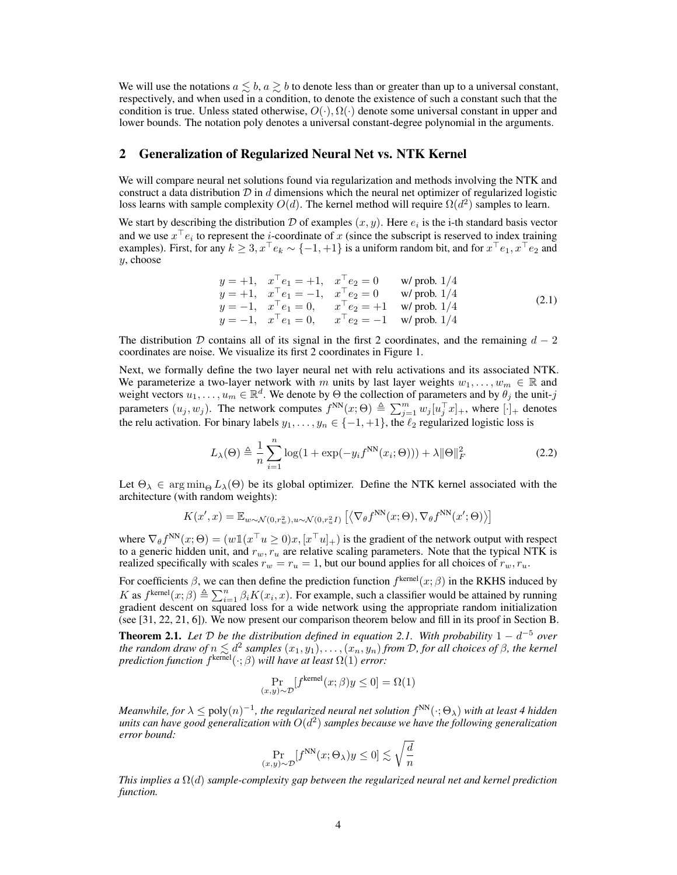We will use the notations  $a \leq b$ ,  $a \geq b$  to denote less than or greater than up to a universal constant, respectively, and when used in a condition, to denote the existence of such a constant such that the condition is true. Unless stated otherwise,  $O(\cdot), \Omega(\cdot)$  denote some universal constant in upper and lower bounds. The notation poly denotes a universal constant-degree polynomial in the arguments.

### 2 Generalization of Regularized Neural Net vs. NTK Kernel

We will compare neural net solutions found via regularization and methods involving the NTK and construct a data distribution  $D$  in d dimensions which the neural net optimizer of regularized logistic loss learns with sample complexity  $O(d)$ . The kernel method will require  $\Omega(d^2)$  samples to learn.

We start by describing the distribution D of examples  $(x, y)$ . Here  $e_i$  is the i-th standard basis vector and we use  $x^\dagger e_i$  to represent the *i*-coordinate of x (since the subscript is reserved to index training examples). First, for any  $k \geq 3, x^+e_k \sim \{-1, +1\}$  is a uniform random bit, and for  $x^+e_1, x^+e_2$  and y, choose

$$
y = +1, \quad x^{\top} e_1 = +1, \quad x^{\top} e_2 = 0 \quad \text{w/prob. } 1/4 \ny = +1, \quad x^{\top} e_1 = -1, \quad x^{\top} e_2 = 0 \quad \text{w/prob. } 1/4 \ny = -1, \quad x^{\top} e_1 = 0, \quad x^{\top} e_2 = +1 \quad \text{w/prob. } 1/4 \ny = -1, \quad x^{\top} e_1 = 0, \quad x^{\top} e_2 = -1 \quad \text{w/prob. } 1/4
$$
\n(2.1)

The distribution D contains all of its signal in the first 2 coordinates, and the remaining  $d - 2$ coordinates are noise. We visualize its first 2 coordinates in Figure 1.

Next, we formally define the two layer neural net with relu activations and its associated NTK. We parameterize a two-layer network with m units by last layer weights  $w_1, \ldots, w_m \in \mathbb{R}$  and weight vectors  $u_1, \ldots, u_m \in \mathbb{R}^d$ . We denote by  $\Theta$  the collection of parameters and by  $\theta_j$  the unit-j parameters  $(u_j, w_j)$ . The network computes  $f^{NN}(x; \Theta) \triangleq \sum_{j=1}^m w_j [u_j^{\top} x]_+$ , where  $[\cdot]_+$  denotes the relu activation. For binary labels  $y_1, \ldots, y_n \in \{-1, +1\}$ , the  $\ell_2$  regularized logistic loss is

$$
L_{\lambda}(\Theta) \triangleq \frac{1}{n} \sum_{i=1}^{n} \log(1 + \exp(-y_i f^{NN}(x_i; \Theta))) + \lambda ||\Theta||_F^2
$$
 (2.2)

Let  $\Theta_{\lambda} \in \arg \min_{\Theta} L_{\lambda}(\Theta)$  be its global optimizer. Define the NTK kernel associated with the architecture (with random weights):

$$
K(x',x) = \mathbb{E}_{w \sim \mathcal{N}(0,r_w^2), u \sim \mathcal{N}(0,r_u^2 I)} \left[ \left\langle \nabla_{\theta} f^{\text{NN}}(x;\Theta), \nabla_{\theta} f^{\text{NN}}(x';\Theta) \right\rangle \right]
$$

where  $\nabla_{\theta} f^{\text{NN}}(x;\Theta) = (w \mathbb{1}(x^{\top} u \ge 0)x, [x^{\top} u]_{+})$  is the gradient of the network output with respect to a generic hidden unit, and  $r_w, r_u$  are relative scaling parameters. Note that the typical NTK is realized specifically with scales  $r_w = r_u = 1$ , but our bound applies for all choices of  $r_w, r_u$ .

For coefficients  $\beta$ , we can then define the prediction function  $f^{\text{kernel}}(x;\beta)$  in the RKHS induced by K as  $f^{kernel}(x;\beta) \triangleq \sum_{i=1}^{n} \beta_i K(x_i,x)$ . For example, such a classifier would be attained by running gradient descent on squared loss for a wide network using the appropriate random initialization (see [31, 22, 21, 6]). We now present our comparison theorem below and fill in its proof in Section B.

**Theorem 2.1.** Let  $D$  be the distribution defined in equation 2.1. With probability  $1 - d^{-5}$  over *the random draw of*  $n \leq d^2$  *samples*  $(x_1, y_1), \ldots, (x_n, y_n)$  *from*  $D$ *, for all choices of*  $\beta$ *, the kernel prediction function*  $f^{kemel}(\cdot; \beta)$  *will have at least*  $\Omega(1)$  *error:* 

$$
\Pr_{(x,y)\sim\mathcal{D}}[f^{\text{kernel}}(x;\beta)y\leq 0]=\Omega(1)
$$

*Meanwhile, for*  $\lambda \leq \text{poly}(n)^{-1}$ , the regularized neural net solution  $f^{\text{NN}}(\cdot;\Theta_{\lambda})$  with at least 4 hidden units can have good generalization with  $O(d^2)$  samples because we have the following generalization *error bound:*

$$
\Pr_{(x,y)\sim\mathcal{D}}[f^{\text{NN}}(x;\Theta_\lambda)y\leq 0]\lesssim \sqrt{\frac{d}{n}}
$$

*This implies a* Ω(d) *sample-complexity gap between the regularized neural net and kernel prediction function.*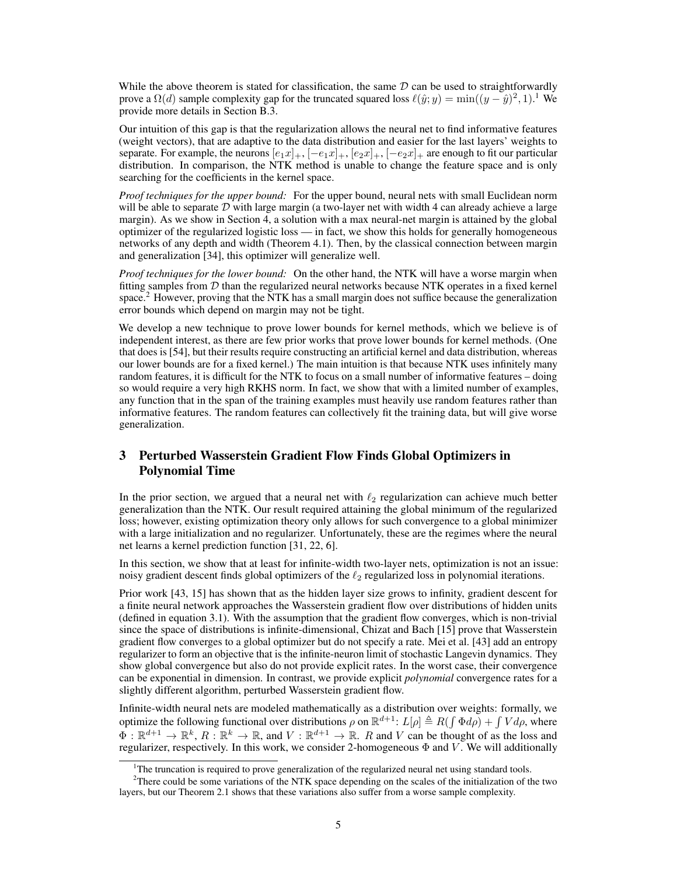While the above theorem is stated for classification, the same  $D$  can be used to straightforwardly prove a  $\Omega(d)$  sample complexity gap for the truncated squared loss  $\ell(\hat{y}; y) = \min((y - \hat{y})^2, 1)$ .<sup>1</sup> We provide more details in Section B.3.

Our intuition of this gap is that the regularization allows the neural net to find informative features (weight vectors), that are adaptive to the data distribution and easier for the last layers' weights to separate. For example, the neurons  $[e_1x]_+$ ,  $[-e_1x]_+$ ,  $[e_2x]_+$ ,  $[-e_2x]_+$  are enough to fit our particular distribution. In comparison, the NTK method is unable to change the feature space and is only searching for the coefficients in the kernel space.

*Proof techniques for the upper bound:* For the upper bound, neural nets with small Euclidean norm will be able to separate  $D$  with large margin (a two-layer net with width 4 can already achieve a large margin). As we show in Section 4, a solution with a max neural-net margin is attained by the global optimizer of the regularized logistic loss — in fact, we show this holds for generally homogeneous networks of any depth and width (Theorem 4.1). Then, by the classical connection between margin and generalization [34], this optimizer will generalize well.

*Proof techniques for the lower bound:* On the other hand, the NTK will have a worse margin when fitting samples from  $D$  than the regularized neural networks because NTK operates in a fixed kernel space.<sup>2</sup> However, proving that the NTK has a small margin does not suffice because the generalization error bounds which depend on margin may not be tight.

We develop a new technique to prove lower bounds for kernel methods, which we believe is of independent interest, as there are few prior works that prove lower bounds for kernel methods. (One that does is [54], but their results require constructing an artificial kernel and data distribution, whereas our lower bounds are for a fixed kernel.) The main intuition is that because NTK uses infinitely many random features, it is difficult for the NTK to focus on a small number of informative features – doing so would require a very high RKHS norm. In fact, we show that with a limited number of examples, any function that in the span of the training examples must heavily use random features rather than informative features. The random features can collectively fit the training data, but will give worse generalization.

# 3 Perturbed Wasserstein Gradient Flow Finds Global Optimizers in Polynomial Time

In the prior section, we argued that a neural net with  $\ell_2$  regularization can achieve much better generalization than the NTK. Our result required attaining the global minimum of the regularized loss; however, existing optimization theory only allows for such convergence to a global minimizer with a large initialization and no regularizer. Unfortunately, these are the regimes where the neural net learns a kernel prediction function [31, 22, 6].

In this section, we show that at least for infinite-width two-layer nets, optimization is not an issue: noisy gradient descent finds global optimizers of the  $\ell_2$  regularized loss in polynomial iterations.

Prior work [43, 15] has shown that as the hidden layer size grows to infinity, gradient descent for a finite neural network approaches the Wasserstein gradient flow over distributions of hidden units (defined in equation 3.1). With the assumption that the gradient flow converges, which is non-trivial since the space of distributions is infinite-dimensional, Chizat and Bach [15] prove that Wasserstein gradient flow converges to a global optimizer but do not specify a rate. Mei et al. [43] add an entropy regularizer to form an objective that is the infinite-neuron limit of stochastic Langevin dynamics. They show global convergence but also do not provide explicit rates. In the worst case, their convergence can be exponential in dimension. In contrast, we provide explicit *polynomial* convergence rates for a slightly different algorithm, perturbed Wasserstein gradient flow.

Infinite-width neural nets are modeled mathematically as a distribution over weights: formally, we optimize the following functional over distributions  $\rho$  on  $\mathbb{R}^{d+1}$ :  $L[\rho] \triangleq R(\int \Phi d\rho) + \int V d\rho$ , where  $\Phi: \mathbb{R}^{d+1} \to \mathbb{R}^k$ ,  $R: \mathbb{R}^k \to \mathbb{R}$ , and  $V: \mathbb{R}^{d+1} \to \mathbb{R}$ . R and V can be thought of as the loss and regularizer, respectively. In this work, we consider 2-homogeneous  $\Phi$  and V. We will additionally

<sup>&</sup>lt;sup>1</sup>The truncation is required to prove generalization of the regularized neural net using standard tools.

<sup>&</sup>lt;sup>2</sup>There could be some variations of the NTK space depending on the scales of the initialization of the two layers, but our Theorem 2.1 shows that these variations also suffer from a worse sample complexity.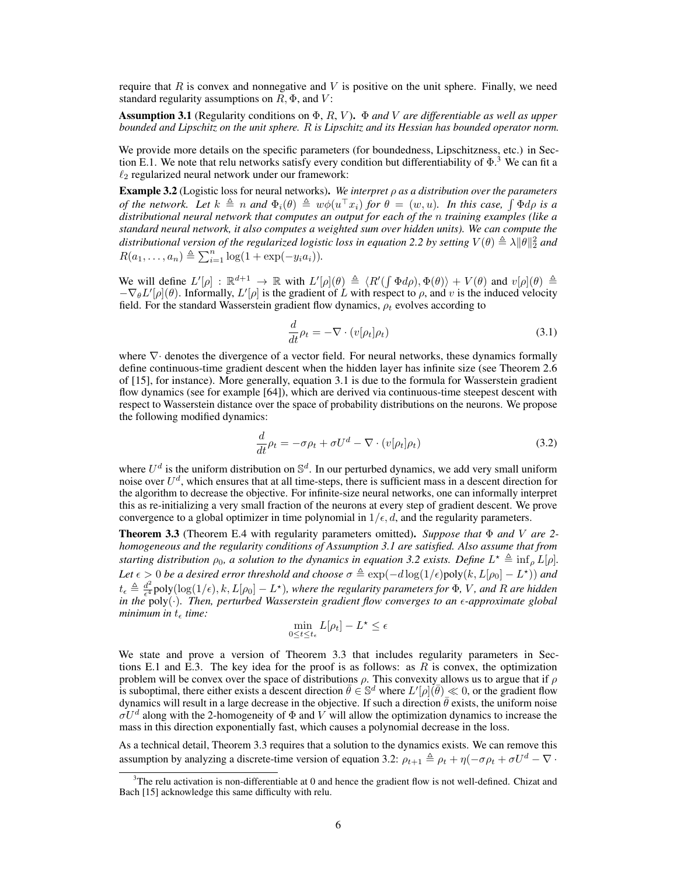require that  $R$  is convex and nonnegative and  $V$  is positive on the unit sphere. Finally, we need standard regularity assumptions on  $R$ ,  $\Phi$ , and  $V$ :

Assumption 3.1 (Regularity conditions on Φ, R, V ). Φ *and* V *are differentiable as well as upper bounded and Lipschitz on the unit sphere.* R *is Lipschitz and its Hessian has bounded operator norm.*

We provide more details on the specific parameters (for boundedness, Lipschitzness, etc.) in Section E.1. We note that relu networks satisfy every condition but differentiability of  $\Phi$ .<sup>3</sup> We can fit a  $\ell_2$  regularized neural network under our framework:

Example 3.2 (Logistic loss for neural networks). *We interpret* ρ *as a distribution over the parameters of the network. Let*  $k \triangleq n$  *and*  $\Phi_i(\theta) \triangleq w\phi(u^\top x_i)$  *for*  $\theta = (w, u)$ *. In this case,*  $\int \Phi d\rho$  *is a distributional neural network that computes an output for each of the* n *training examples (like a standard neural network, it also computes a weighted sum over hidden units). We can compute the* distributional version of the regularized logistic loss in equation 2.2 by setting  $V(\theta) \triangleq \lambda \|\theta\|_2^2$  and  $R(a_1,..., a_n) \triangleq \sum_{i=1}^n \log(1 + \exp(-y_i a_i)).$ 

We will define  $L'[\rho] : \mathbb{R}^{d+1} \to \mathbb{R}$  with  $L'[\rho](\theta) \triangleq \langle R'(\int \Phi d\rho), \Phi(\theta) \rangle + V(\theta)$  and  $v[\rho](\theta) \triangleq$  $-\nabla_{\theta} L'[\rho](\theta)$ . Informally,  $L'[\rho]$  is the gradient of L with respect to  $\rho$ , and v is the induced velocity field. For the standard Wasserstein gradient flow dynamics,  $\rho_t$  evolves according to

$$
\frac{d}{dt}\rho_t = -\nabla \cdot (v[\rho_t]\rho_t) \tag{3.1}
$$

where  $\nabla$  denotes the divergence of a vector field. For neural networks, these dynamics formally define continuous-time gradient descent when the hidden layer has infinite size (see Theorem 2.6 of [15], for instance). More generally, equation 3.1 is due to the formula for Wasserstein gradient flow dynamics (see for example [64]), which are derived via continuous-time steepest descent with respect to Wasserstein distance over the space of probability distributions on the neurons. We propose the following modified dynamics:

$$
\frac{d}{dt}\rho_t = -\sigma \rho_t + \sigma U^d - \nabla \cdot (v[\rho_t]\rho_t)
$$
\n(3.2)

where  $U^d$  is the uniform distribution on  $\mathbb{S}^d$ . In our perturbed dynamics, we add very small uniform noise over  $U^d$ , which ensures that at all time-steps, there is sufficient mass in a descent direction for the algorithm to decrease the objective. For infinite-size neural networks, one can informally interpret this as re-initializing a very small fraction of the neurons at every step of gradient descent. We prove convergence to a global optimizer in time polynomial in  $1/\epsilon, d$ , and the regularity parameters.

Theorem 3.3 (Theorem E.4 with regularity parameters omitted). *Suppose that* Φ *and* V *are 2 homogeneous and the regularity conditions of Assumption 3.1 are satisfied. Also assume that from starting distribution*  $\rho_0$ , a solution to the dynamics in equation 3.2 exists. Define  $L^* \triangleq \inf_{\rho} L[\rho]$ . *Let*  $\epsilon > 0$  *be a desired error threshold and choose*  $\sigma \triangleq \exp(-d \log(1/\epsilon) \text{poly}(k, L[\rho_0] - L^*))$  *and*  $t_{\epsilon} \triangleq \frac{d^2}{\epsilon^4}$  $\frac{d^2}{\epsilon^4}$ poly $(\log(1/\epsilon), k, L[\rho_0] - L^*),$  where the regularity parameters for  $\Phi$ , V, and R are hidden *in the* poly(·)*. Then, perturbed Wasserstein gradient flow converges to an -approximate global minimum in*  $t_$  *time:* 

$$
\min_{0\leq t\leq t_{\epsilon}}L[\rho_t]-L^{\star}\leq \epsilon
$$

We state and prove a version of Theorem 3.3 that includes regularity parameters in Sections E.1 and E.3. The key idea for the proof is as follows: as  $R$  is convex, the optimization problem will be convex over the space of distributions  $\rho$ . This convexity allows us to argue that if  $\rho$ is suboptimal, there either exists a descent direction  $\bar{\theta} \in \mathbb{S}^d$  where  $L'[\rho](\bar{\theta}) \ll 0$ , or the gradient flow dynamics will result in a large decrease in the objective. If such a direction  $\hat{\theta}$  exists, the uniform noise  $\sigma U^d$  along with the 2-homogeneity of  $\Phi$  and  $V$  will allow the optimization dynamics to increase the mass in this direction exponentially fast, which causes a polynomial decrease in the loss.

As a technical detail, Theorem 3.3 requires that a solution to the dynamics exists. We can remove this assumption by analyzing a discrete-time version of equation 3.2:  $\rho_{t+1} \triangleq \rho_t + \eta(-\sigma \rho_t + \sigma U^d - \nabla \cdot$ 

 $3$ The relu activation is non-differentiable at 0 and hence the gradient flow is not well-defined. Chizat and Bach [15] acknowledge this same difficulty with relu.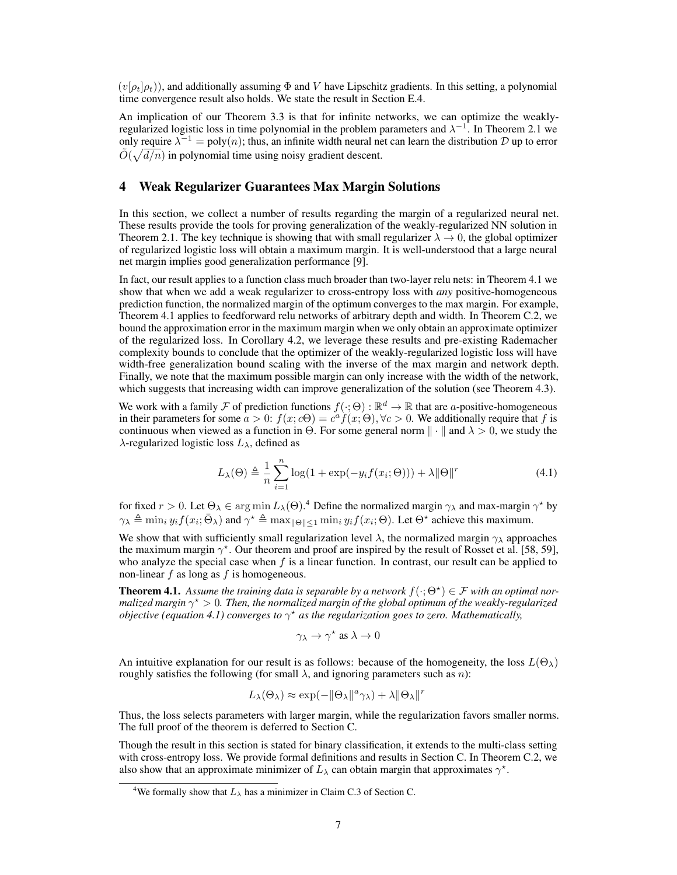$(v[\rho_t]\rho_t)$ ), and additionally assuming  $\Phi$  and V have Lipschitz gradients. In this setting, a polynomial time convergence result also holds. We state the result in Section E.4.

An implication of our Theorem 3.3 is that for infinite networks, we can optimize the weaklyregularized logistic loss in time polynomial in the problem parameters and  $\lambda^{-1}$ . In Theorem 2.1 we only require  $\lambda^{-1} = \text{poly}(n)$ ; thus, an infinite width neural net can learn the distribution D up to error  $\tilde{O}(\sqrt{d/n})$  in polynomial time using noisy gradient descent.

#### 4 Weak Regularizer Guarantees Max Margin Solutions

In this section, we collect a number of results regarding the margin of a regularized neural net. These results provide the tools for proving generalization of the weakly-regularized NN solution in Theorem 2.1. The key technique is showing that with small regularizer  $\lambda \to 0$ , the global optimizer of regularized logistic loss will obtain a maximum margin. It is well-understood that a large neural net margin implies good generalization performance [9].

In fact, our result applies to a function class much broader than two-layer relu nets: in Theorem 4.1 we show that when we add a weak regularizer to cross-entropy loss with *any* positive-homogeneous prediction function, the normalized margin of the optimum converges to the max margin. For example, Theorem 4.1 applies to feedforward relu networks of arbitrary depth and width. In Theorem C.2, we bound the approximation error in the maximum margin when we only obtain an approximate optimizer of the regularized loss. In Corollary 4.2, we leverage these results and pre-existing Rademacher complexity bounds to conclude that the optimizer of the weakly-regularized logistic loss will have width-free generalization bound scaling with the inverse of the max margin and network depth. Finally, we note that the maximum possible margin can only increase with the width of the network, which suggests that increasing width can improve generalization of the solution (see Theorem 4.3).

We work with a family  $\mathcal F$  of prediction functions  $f(\cdot; \Theta) : \mathbb{R}^d \to \mathbb{R}$  that are a-positive-homogeneous in their parameters for some  $a > 0$ :  $f(x; c\Theta) = c^a f(x; \Theta)$ ,  $\forall c > 0$ . We additionally require that f is continuous when viewed as a function in  $\Theta$ . For some general norm  $\|\cdot\|$  and  $\lambda > 0$ , we study the  $\lambda$ -regularized logistic loss  $L_{\lambda}$ , defined as

$$
L_{\lambda}(\Theta) \triangleq \frac{1}{n} \sum_{i=1}^{n} \log(1 + \exp(-y_i f(x_i; \Theta))) + \lambda ||\Theta||^r
$$
 (4.1)

for fixed  $r > 0$ . Let  $\Theta_{\lambda} \in \arg \min_{\lambda} L_{\lambda}(\Theta)$ .<sup>4</sup> Define the normalized margin  $\gamma_{\lambda}$  and max-margin  $\gamma^*$  by  $\gamma_{\lambda} \triangleq \min_i y_i f(x_i; \bar{\Theta}_{\lambda})$  and  $\gamma^* \triangleq \max_{\|\Theta\| \leq 1} \min_i y_i f(x_i; \Theta)$ . Let  $\Theta^*$  achieve this maximum.

We show that with sufficiently small regularization level  $\lambda$ , the normalized margin  $\gamma_{\lambda}$  approaches the maximum margin  $\gamma^*$ . Our theorem and proof are inspired by the result of Rosset et al. [58, 59], who analyze the special case when f is a linear function. In contrast, our result can be applied to non-linear  $f$  as long as  $f$  is homogeneous.

**Theorem 4.1.** Assume the training data is separable by a network  $f(\cdot; \Theta^{\star}) \in \mathcal{F}$  with an optimal nor*malized margin* γ ? > 0*. Then, the normalized margin of the global optimum of the weakly-regularized objective (equation 4.1) converges to*  $\gamma^*$  *as the regularization goes to zero. Mathematically,* 

$$
\gamma_\lambda \to \gamma^\star
$$
 as  $\lambda \to 0$ 

An intuitive explanation for our result is as follows: because of the homogeneity, the loss  $L(\Theta_\lambda)$ roughly satisfies the following (for small  $\lambda$ , and ignoring parameters such as n):

$$
L_{\lambda}(\Theta_{\lambda}) \approx \exp(-\|\Theta_{\lambda}\|^{a}\gamma_{\lambda}) + \lambda\|\Theta_{\lambda}\|^{r}
$$

Thus, the loss selects parameters with larger margin, while the regularization favors smaller norms. The full proof of the theorem is deferred to Section C.

Though the result in this section is stated for binary classification, it extends to the multi-class setting with cross-entropy loss. We provide formal definitions and results in Section C. In Theorem C.2, we also show that an approximate minimizer of  $L_{\lambda}$  can obtain margin that approximates  $\gamma^*$ .

<sup>&</sup>lt;sup>4</sup>We formally show that  $L_{\lambda}$  has a minimizer in Claim C.3 of Section C.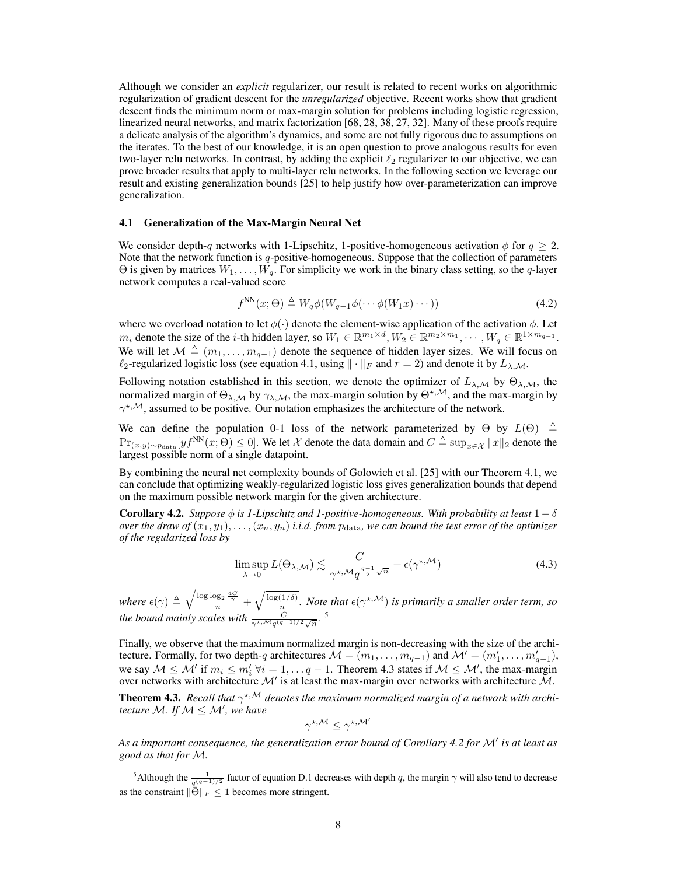Although we consider an *explicit* regularizer, our result is related to recent works on algorithmic regularization of gradient descent for the *unregularized* objective. Recent works show that gradient descent finds the minimum norm or max-margin solution for problems including logistic regression, linearized neural networks, and matrix factorization [68, 28, 38, 27, 32]. Many of these proofs require a delicate analysis of the algorithm's dynamics, and some are not fully rigorous due to assumptions on the iterates. To the best of our knowledge, it is an open question to prove analogous results for even two-layer relu networks. In contrast, by adding the explicit  $\ell_2$  regularizer to our objective, we can prove broader results that apply to multi-layer relu networks. In the following section we leverage our result and existing generalization bounds [25] to help justify how over-parameterization can improve generalization.

#### 4.1 Generalization of the Max-Margin Neural Net

We consider depth-q networks with 1-Lipschitz, 1-positive-homogeneous activation  $\phi$  for  $q \geq 2$ . Note that the network function is  $q$ -positive-homogeneous. Suppose that the collection of parameters  $\Theta$  is given by matrices  $W_1, \ldots, W_q$ . For simplicity we work in the binary class setting, so the q-layer network computes a real-valued score

$$
f^{\text{NN}}(x;\Theta) \triangleq W_q \phi(W_{q-1}\phi(\cdots\phi(W_1x)\cdots))
$$
\n(4.2)

where we overload notation to let  $\phi(\cdot)$  denote the element-wise application of the activation  $\phi$ . Let  $m_i$  denote the size of the *i*-th hidden layer, so  $W_1 \in \mathbb{R}^{m_1 \times d}$ ,  $W_2 \in \mathbb{R}^{m_2 \times m_1}$ ,  $\dots, W_q \in \mathbb{R}^{1 \times m_{q-1}}$ . We will let  $\mathcal{M} \triangleq (m_1, \ldots, m_{q-1})$  denote the sequence of hidden layer sizes. We will focus on  $\ell_2$ -regularized logistic loss (see equation 4.1, using  $\|\cdot\|_F$  and  $r = 2$ ) and denote it by  $L_{\lambda,M}$ .

Following notation established in this section, we denote the optimizer of  $L_{\lambda,\mathcal{M}}$  by  $\Theta_{\lambda,\mathcal{M}}$ , the normalized margin of  $\Theta_{\lambda,M}$  by  $\gamma_{\lambda,M}$ , the max-margin solution by  $\Theta^{*,M}$ , and the max-margin by  $\gamma^{\star,M}$ , assumed to be positive. Our notation emphasizes the architecture of the network.

We can define the population 0-1 loss of the network parameterized by  $\Theta$  by  $L(\Theta) \triangleq$  $Pr_{(x,y)\sim p_{\text{data}}}[yf^{\text{NN}}(x;\Theta) \leq 0]$ . We let X denote the data domain and  $C \triangleq \sup_{x \in \mathcal{X}} ||x||_2$  denote the largest possible norm of a single datapoint.

By combining the neural net complexity bounds of Golowich et al. [25] with our Theorem 4.1, we can conclude that optimizing weakly-regularized logistic loss gives generalization bounds that depend on the maximum possible network margin for the given architecture.

**Corollary 4.2.** *Suppose*  $\phi$  *is 1-Lipschitz and 1-positive-homogeneous. With probability at least*  $1 - \delta$ *over the draw of*  $(x_1, y_1), \ldots, (x_n, y_n)$  *i.i.d. from*  $p_{\text{data}}$  *we can bound the test error of the optimizer of the regularized loss by*

$$
\limsup_{\lambda \to 0} L(\Theta_{\lambda, \mathcal{M}}) \lesssim \frac{C}{\gamma^{\star, \mathcal{M}} q^{\frac{q-1}{2}\sqrt{n}}} + \epsilon(\gamma^{\star, \mathcal{M}})
$$
(4.3)

*where*  $\epsilon(\gamma) \triangleq \sqrt{\frac{\log \log_2 \frac{4C}{\gamma}}{n}} + \sqrt{\frac{\log(1/\delta)}{n}}$  $\frac{(1/\delta)}{n}$ . Note that  $\epsilon(\gamma^{\star,M})$  is primarily a smaller order term, so *the bound mainly scales with*  $\frac{C}{\gamma^{\star, \mathcal{M}} q^{(q-1)/2} \sqrt{n}}$ .<sup>5</sup>

Finally, we observe that the maximum normalized margin is non-decreasing with the size of the architecture. Formally, for two depth-q architectures  $\mathcal{M} = (m_1, \dots, m_{q-1})$  and  $\mathcal{M}' = (m'_1, \dots, m'_{q-1})$ , we say  $M \le M'$  if  $m_i \le m'_i \ \forall i = 1, \ldots q-1$ . Theorem 4.3 states if  $M \le M'$ , the max-margin over networks with architecture  $\mathcal{M}'$  is at least the max-margin over networks with architecture  $\mathcal{M}$ .

**Theorem 4.3.** Recall that  $\gamma^{\star,M}$  denotes the maximum normalized margin of a network with archi*tecture* M. If  $M \leq M'$ , we have

$$
\gamma^{\star, \mathcal{M}} \leq \gamma^{\star, \mathcal{M}'}
$$

*As a important consequence, the generalization error bound of Corollary 4.2 for* M<sup>0</sup> *is at least as good as that for* M*.*

<sup>&</sup>lt;sup>5</sup>Although the  $\frac{1}{q^{(q-1)/2}}$  factor of equation D.1 decreases with depth q, the margin  $\gamma$  will also tend to decrease as the constraint  $\|\tilde{\Theta}\|_F \leq 1$  becomes more stringent.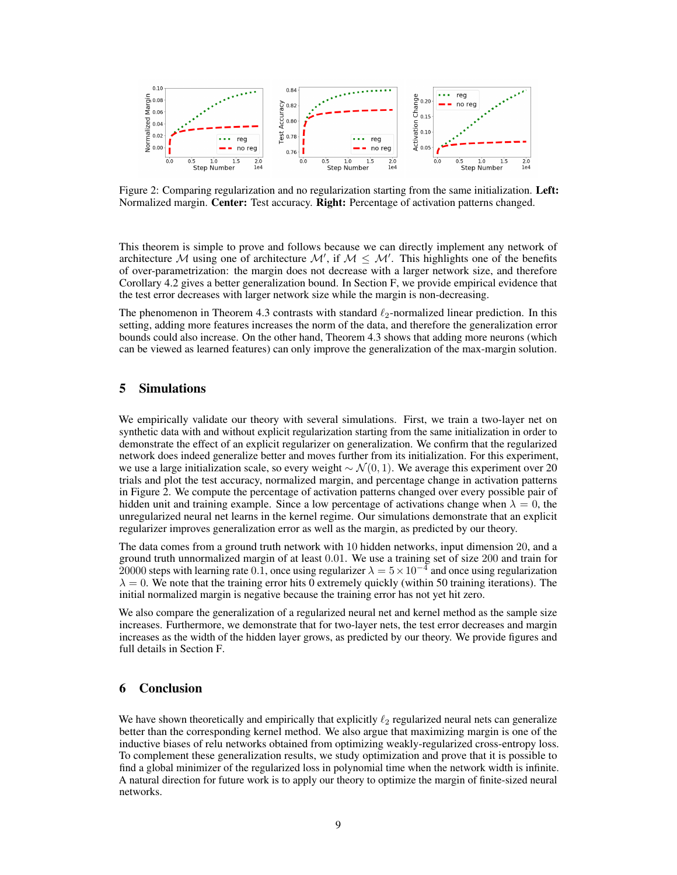

Figure 2: Comparing regularization and no regularization starting from the same initialization. Left: Normalized margin. Center: Test accuracy. Right: Percentage of activation patterns changed.

This theorem is simple to prove and follows because we can directly implement any network of architecture M using one of architecture  $\mathcal{M}'$ , if  $\mathcal{M} \leq \mathcal{M}'$ . This highlights one of the benefits of over-parametrization: the margin does not decrease with a larger network size, and therefore Corollary 4.2 gives a better generalization bound. In Section F, we provide empirical evidence that the test error decreases with larger network size while the margin is non-decreasing.

The phenomenon in Theorem 4.3 contrasts with standard  $\ell_2$ -normalized linear prediction. In this setting, adding more features increases the norm of the data, and therefore the generalization error bounds could also increase. On the other hand, Theorem 4.3 shows that adding more neurons (which can be viewed as learned features) can only improve the generalization of the max-margin solution.

## 5 Simulations

We empirically validate our theory with several simulations. First, we train a two-layer net on synthetic data with and without explicit regularization starting from the same initialization in order to demonstrate the effect of an explicit regularizer on generalization. We confirm that the regularized network does indeed generalize better and moves further from its initialization. For this experiment, we use a large initialization scale, so every weight  $\sim \mathcal{N}(0, 1)$ . We average this experiment over 20 trials and plot the test accuracy, normalized margin, and percentage change in activation patterns in Figure 2. We compute the percentage of activation patterns changed over every possible pair of hidden unit and training example. Since a low percentage of activations change when  $\lambda = 0$ , the unregularized neural net learns in the kernel regime. Our simulations demonstrate that an explicit regularizer improves generalization error as well as the margin, as predicted by our theory.

The data comes from a ground truth network with 10 hidden networks, input dimension 20, and a ground truth unnormalized margin of at least 0.01. We use a training set of size 200 and train for 20000 steps with learning rate 0.1, once using regularizer  $\lambda = 5 \times 10^{-4}$  and once using regularization  $\lambda = 0$ . We note that the training error hits 0 extremely quickly (within 50 training iterations). The initial normalized margin is negative because the training error has not yet hit zero.

We also compare the generalization of a regularized neural net and kernel method as the sample size increases. Furthermore, we demonstrate that for two-layer nets, the test error decreases and margin increases as the width of the hidden layer grows, as predicted by our theory. We provide figures and full details in Section F.

## 6 Conclusion

We have shown theoretically and empirically that explicitly  $\ell_2$  regularized neural nets can generalize better than the corresponding kernel method. We also argue that maximizing margin is one of the inductive biases of relu networks obtained from optimizing weakly-regularized cross-entropy loss. To complement these generalization results, we study optimization and prove that it is possible to find a global minimizer of the regularized loss in polynomial time when the network width is infinite. A natural direction for future work is to apply our theory to optimize the margin of finite-sized neural networks.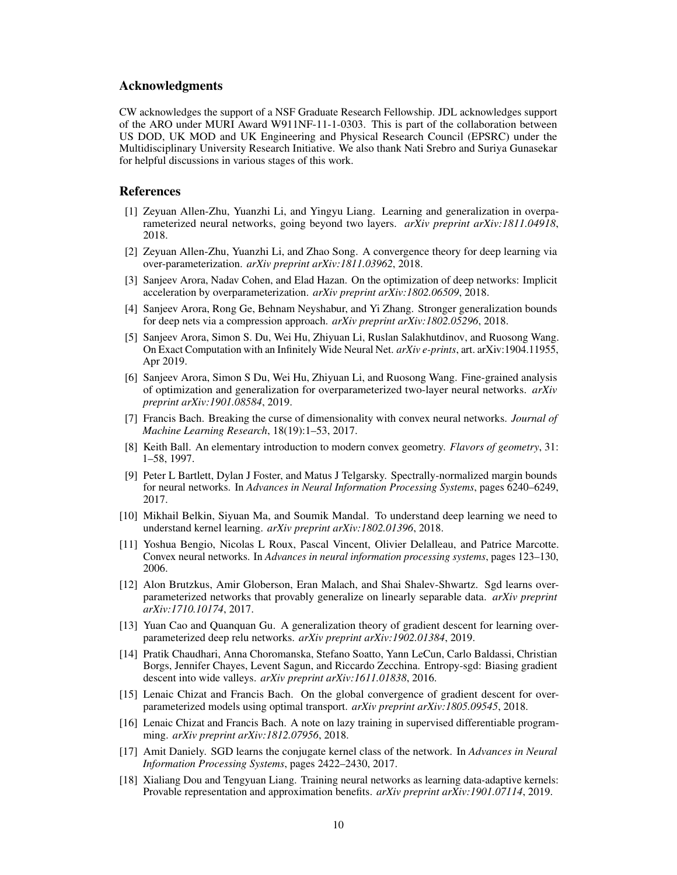#### Acknowledgments

CW acknowledges the support of a NSF Graduate Research Fellowship. JDL acknowledges support of the ARO under MURI Award W911NF-11-1-0303. This is part of the collaboration between US DOD, UK MOD and UK Engineering and Physical Research Council (EPSRC) under the Multidisciplinary University Research Initiative. We also thank Nati Srebro and Suriya Gunasekar for helpful discussions in various stages of this work.

#### References

- [1] Zeyuan Allen-Zhu, Yuanzhi Li, and Yingyu Liang. Learning and generalization in overparameterized neural networks, going beyond two layers. *arXiv preprint arXiv:1811.04918*, 2018.
- [2] Zeyuan Allen-Zhu, Yuanzhi Li, and Zhao Song. A convergence theory for deep learning via over-parameterization. *arXiv preprint arXiv:1811.03962*, 2018.
- [3] Sanjeev Arora, Nadav Cohen, and Elad Hazan. On the optimization of deep networks: Implicit acceleration by overparameterization. *arXiv preprint arXiv:1802.06509*, 2018.
- [4] Sanjeev Arora, Rong Ge, Behnam Neyshabur, and Yi Zhang. Stronger generalization bounds for deep nets via a compression approach. *arXiv preprint arXiv:1802.05296*, 2018.
- [5] Sanjeev Arora, Simon S. Du, Wei Hu, Zhiyuan Li, Ruslan Salakhutdinov, and Ruosong Wang. On Exact Computation with an Infinitely Wide Neural Net. *arXiv e-prints*, art. arXiv:1904.11955, Apr 2019.
- [6] Sanjeev Arora, Simon S Du, Wei Hu, Zhiyuan Li, and Ruosong Wang. Fine-grained analysis of optimization and generalization for overparameterized two-layer neural networks. *arXiv preprint arXiv:1901.08584*, 2019.
- [7] Francis Bach. Breaking the curse of dimensionality with convex neural networks. *Journal of Machine Learning Research*, 18(19):1–53, 2017.
- [8] Keith Ball. An elementary introduction to modern convex geometry. *Flavors of geometry*, 31: 1–58, 1997.
- [9] Peter L Bartlett, Dylan J Foster, and Matus J Telgarsky. Spectrally-normalized margin bounds for neural networks. In *Advances in Neural Information Processing Systems*, pages 6240–6249, 2017.
- [10] Mikhail Belkin, Siyuan Ma, and Soumik Mandal. To understand deep learning we need to understand kernel learning. *arXiv preprint arXiv:1802.01396*, 2018.
- [11] Yoshua Bengio, Nicolas L Roux, Pascal Vincent, Olivier Delalleau, and Patrice Marcotte. Convex neural networks. In *Advances in neural information processing systems*, pages 123–130, 2006.
- [12] Alon Brutzkus, Amir Globerson, Eran Malach, and Shai Shalev-Shwartz. Sgd learns overparameterized networks that provably generalize on linearly separable data. *arXiv preprint arXiv:1710.10174*, 2017.
- [13] Yuan Cao and Quanquan Gu. A generalization theory of gradient descent for learning overparameterized deep relu networks. *arXiv preprint arXiv:1902.01384*, 2019.
- [14] Pratik Chaudhari, Anna Choromanska, Stefano Soatto, Yann LeCun, Carlo Baldassi, Christian Borgs, Jennifer Chayes, Levent Sagun, and Riccardo Zecchina. Entropy-sgd: Biasing gradient descent into wide valleys. *arXiv preprint arXiv:1611.01838*, 2016.
- [15] Lenaic Chizat and Francis Bach. On the global convergence of gradient descent for overparameterized models using optimal transport. *arXiv preprint arXiv:1805.09545*, 2018.
- [16] Lenaic Chizat and Francis Bach. A note on lazy training in supervised differentiable programming. *arXiv preprint arXiv:1812.07956*, 2018.
- [17] Amit Daniely. SGD learns the conjugate kernel class of the network. In *Advances in Neural Information Processing Systems*, pages 2422–2430, 2017.
- [18] Xialiang Dou and Tengyuan Liang. Training neural networks as learning data-adaptive kernels: Provable representation and approximation benefits. *arXiv preprint arXiv:1901.07114*, 2019.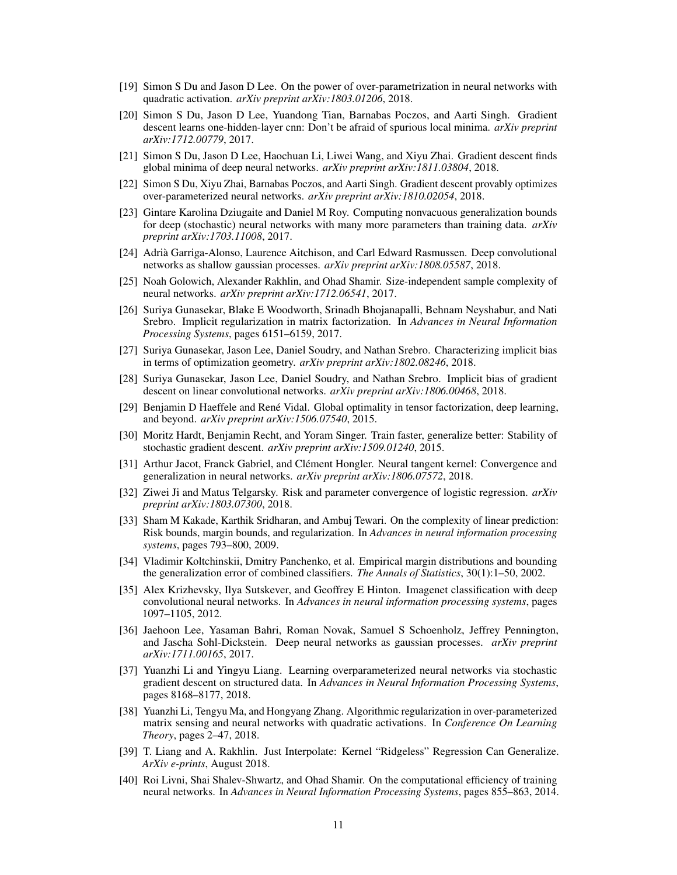- [19] Simon S Du and Jason D Lee. On the power of over-parametrization in neural networks with quadratic activation. *arXiv preprint arXiv:1803.01206*, 2018.
- [20] Simon S Du, Jason D Lee, Yuandong Tian, Barnabas Poczos, and Aarti Singh. Gradient descent learns one-hidden-layer cnn: Don't be afraid of spurious local minima. *arXiv preprint arXiv:1712.00779*, 2017.
- [21] Simon S Du, Jason D Lee, Haochuan Li, Liwei Wang, and Xiyu Zhai. Gradient descent finds global minima of deep neural networks. *arXiv preprint arXiv:1811.03804*, 2018.
- [22] Simon S Du, Xiyu Zhai, Barnabas Poczos, and Aarti Singh. Gradient descent provably optimizes over-parameterized neural networks. *arXiv preprint arXiv:1810.02054*, 2018.
- [23] Gintare Karolina Dziugaite and Daniel M Roy. Computing nonvacuous generalization bounds for deep (stochastic) neural networks with many more parameters than training data. *arXiv preprint arXiv:1703.11008*, 2017.
- [24] Adrià Garriga-Alonso, Laurence Aitchison, and Carl Edward Rasmussen. Deep convolutional networks as shallow gaussian processes. *arXiv preprint arXiv:1808.05587*, 2018.
- [25] Noah Golowich, Alexander Rakhlin, and Ohad Shamir. Size-independent sample complexity of neural networks. *arXiv preprint arXiv:1712.06541*, 2017.
- [26] Suriya Gunasekar, Blake E Woodworth, Srinadh Bhojanapalli, Behnam Neyshabur, and Nati Srebro. Implicit regularization in matrix factorization. In *Advances in Neural Information Processing Systems*, pages 6151–6159, 2017.
- [27] Suriya Gunasekar, Jason Lee, Daniel Soudry, and Nathan Srebro. Characterizing implicit bias in terms of optimization geometry. *arXiv preprint arXiv:1802.08246*, 2018.
- [28] Suriya Gunasekar, Jason Lee, Daniel Soudry, and Nathan Srebro. Implicit bias of gradient descent on linear convolutional networks. *arXiv preprint arXiv:1806.00468*, 2018.
- [29] Benjamin D Haeffele and René Vidal. Global optimality in tensor factorization, deep learning, and beyond. *arXiv preprint arXiv:1506.07540*, 2015.
- [30] Moritz Hardt, Benjamin Recht, and Yoram Singer. Train faster, generalize better: Stability of stochastic gradient descent. *arXiv preprint arXiv:1509.01240*, 2015.
- [31] Arthur Jacot, Franck Gabriel, and Clément Hongler. Neural tangent kernel: Convergence and generalization in neural networks. *arXiv preprint arXiv:1806.07572*, 2018.
- [32] Ziwei Ji and Matus Telgarsky. Risk and parameter convergence of logistic regression. *arXiv preprint arXiv:1803.07300*, 2018.
- [33] Sham M Kakade, Karthik Sridharan, and Ambuj Tewari. On the complexity of linear prediction: Risk bounds, margin bounds, and regularization. In *Advances in neural information processing systems*, pages 793–800, 2009.
- [34] Vladimir Koltchinskii, Dmitry Panchenko, et al. Empirical margin distributions and bounding the generalization error of combined classifiers. *The Annals of Statistics*, 30(1):1–50, 2002.
- [35] Alex Krizhevsky, Ilya Sutskever, and Geoffrey E Hinton. Imagenet classification with deep convolutional neural networks. In *Advances in neural information processing systems*, pages 1097–1105, 2012.
- [36] Jaehoon Lee, Yasaman Bahri, Roman Novak, Samuel S Schoenholz, Jeffrey Pennington, and Jascha Sohl-Dickstein. Deep neural networks as gaussian processes. *arXiv preprint arXiv:1711.00165*, 2017.
- [37] Yuanzhi Li and Yingyu Liang. Learning overparameterized neural networks via stochastic gradient descent on structured data. In *Advances in Neural Information Processing Systems*, pages 8168–8177, 2018.
- [38] Yuanzhi Li, Tengyu Ma, and Hongyang Zhang. Algorithmic regularization in over-parameterized matrix sensing and neural networks with quadratic activations. In *Conference On Learning Theory*, pages 2–47, 2018.
- [39] T. Liang and A. Rakhlin. Just Interpolate: Kernel "Ridgeless" Regression Can Generalize. *ArXiv e-prints*, August 2018.
- [40] Roi Livni, Shai Shalev-Shwartz, and Ohad Shamir. On the computational efficiency of training neural networks. In *Advances in Neural Information Processing Systems*, pages 855–863, 2014.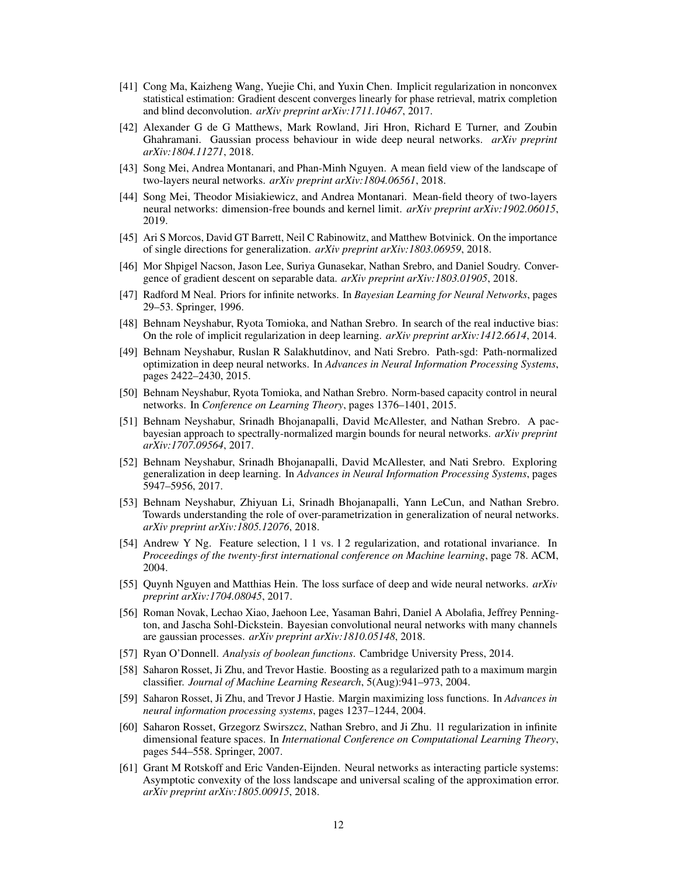- [41] Cong Ma, Kaizheng Wang, Yuejie Chi, and Yuxin Chen. Implicit regularization in nonconvex statistical estimation: Gradient descent converges linearly for phase retrieval, matrix completion and blind deconvolution. *arXiv preprint arXiv:1711.10467*, 2017.
- [42] Alexander G de G Matthews, Mark Rowland, Jiri Hron, Richard E Turner, and Zoubin Ghahramani. Gaussian process behaviour in wide deep neural networks. *arXiv preprint arXiv:1804.11271*, 2018.
- [43] Song Mei, Andrea Montanari, and Phan-Minh Nguyen. A mean field view of the landscape of two-layers neural networks. *arXiv preprint arXiv:1804.06561*, 2018.
- [44] Song Mei, Theodor Misiakiewicz, and Andrea Montanari. Mean-field theory of two-layers neural networks: dimension-free bounds and kernel limit. *arXiv preprint arXiv:1902.06015*, 2019.
- [45] Ari S Morcos, David GT Barrett, Neil C Rabinowitz, and Matthew Botvinick. On the importance of single directions for generalization. *arXiv preprint arXiv:1803.06959*, 2018.
- [46] Mor Shpigel Nacson, Jason Lee, Suriya Gunasekar, Nathan Srebro, and Daniel Soudry. Convergence of gradient descent on separable data. *arXiv preprint arXiv:1803.01905*, 2018.
- [47] Radford M Neal. Priors for infinite networks. In *Bayesian Learning for Neural Networks*, pages 29–53. Springer, 1996.
- [48] Behnam Neyshabur, Ryota Tomioka, and Nathan Srebro. In search of the real inductive bias: On the role of implicit regularization in deep learning. *arXiv preprint arXiv:1412.6614*, 2014.
- [49] Behnam Neyshabur, Ruslan R Salakhutdinov, and Nati Srebro. Path-sgd: Path-normalized optimization in deep neural networks. In *Advances in Neural Information Processing Systems*, pages 2422–2430, 2015.
- [50] Behnam Neyshabur, Ryota Tomioka, and Nathan Srebro. Norm-based capacity control in neural networks. In *Conference on Learning Theory*, pages 1376–1401, 2015.
- [51] Behnam Neyshabur, Srinadh Bhojanapalli, David McAllester, and Nathan Srebro. A pacbayesian approach to spectrally-normalized margin bounds for neural networks. *arXiv preprint arXiv:1707.09564*, 2017.
- [52] Behnam Neyshabur, Srinadh Bhojanapalli, David McAllester, and Nati Srebro. Exploring generalization in deep learning. In *Advances in Neural Information Processing Systems*, pages 5947–5956, 2017.
- [53] Behnam Neyshabur, Zhiyuan Li, Srinadh Bhojanapalli, Yann LeCun, and Nathan Srebro. Towards understanding the role of over-parametrization in generalization of neural networks. *arXiv preprint arXiv:1805.12076*, 2018.
- [54] Andrew Y Ng. Feature selection, l 1 vs. l 2 regularization, and rotational invariance. In *Proceedings of the twenty-first international conference on Machine learning*, page 78. ACM, 2004.
- [55] Quynh Nguyen and Matthias Hein. The loss surface of deep and wide neural networks. *arXiv preprint arXiv:1704.08045*, 2017.
- [56] Roman Novak, Lechao Xiao, Jaehoon Lee, Yasaman Bahri, Daniel A Abolafia, Jeffrey Pennington, and Jascha Sohl-Dickstein. Bayesian convolutional neural networks with many channels are gaussian processes. *arXiv preprint arXiv:1810.05148*, 2018.
- [57] Ryan O'Donnell. *Analysis of boolean functions*. Cambridge University Press, 2014.
- [58] Saharon Rosset, Ji Zhu, and Trevor Hastie. Boosting as a regularized path to a maximum margin classifier. *Journal of Machine Learning Research*, 5(Aug):941–973, 2004.
- [59] Saharon Rosset, Ji Zhu, and Trevor J Hastie. Margin maximizing loss functions. In *Advances in neural information processing systems*, pages 1237–1244, 2004.
- [60] Saharon Rosset, Grzegorz Swirszcz, Nathan Srebro, and Ji Zhu. l1 regularization in infinite dimensional feature spaces. In *International Conference on Computational Learning Theory*, pages 544–558. Springer, 2007.
- [61] Grant M Rotskoff and Eric Vanden-Eijnden. Neural networks as interacting particle systems: Asymptotic convexity of the loss landscape and universal scaling of the approximation error. *arXiv preprint arXiv:1805.00915*, 2018.